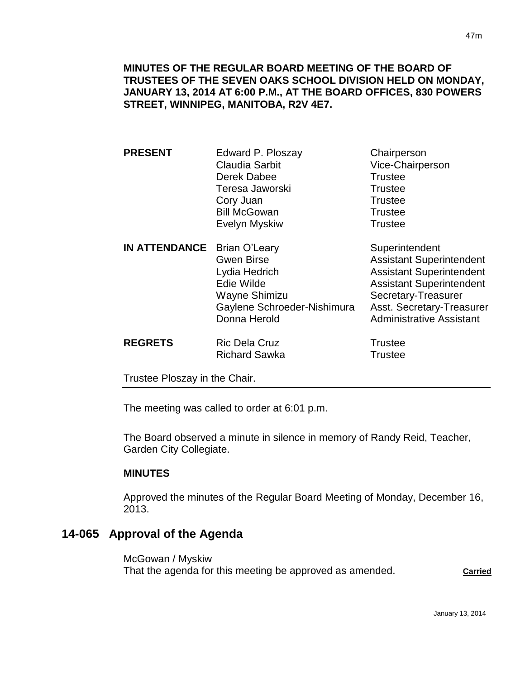**MINUTES OF THE REGULAR BOARD MEETING OF THE BOARD OF TRUSTEES OF THE SEVEN OAKS SCHOOL DIVISION HELD ON MONDAY, JANUARY 13, 2014 AT 6:00 P.M., AT THE BOARD OFFICES, 830 POWERS STREET, WINNIPEG, MANITOBA, R2V 4E7.**

- **PRESENT** Edward P. Ploszay Chairperson Claudia Sarbit Vice-Chairperson Derek Dabee Trustee Teresa Jaworski **Trustee** Cory Juan **Trustee** Bill McGowan Trustee Evelyn Myskiw Trustee **IN ATTENDANCE** Brian O'Leary Superintendent Gwen Birse **Assistant Superintendent** Lydia Hedrich **Assistant Superintendent** Edie Wilde **Assistant Superintendent**
- Wayne Shimizu Secretary-Treasurer Gaylene Schroeder-Nishimura Asst. Secretary-Treasurer Donna Herold **Administrative Assistant REGRETS** Ric Dela Cruz **REGRETS** Richard Regular Regular Regular Regular Regular Regular Regular Regular Regular Regular Regular Regular Regular Regular Regular Regular Regular Regular Regular Regular Regular Regular Regu

Richard Sawka Trustee

Trustee Ploszay in the Chair.

The meeting was called to order at 6:01 p.m.

The Board observed a minute in silence in memory of Randy Reid, Teacher, Garden City Collegiate.

#### **MINUTES**

Approved the minutes of the Regular Board Meeting of Monday, December 16, 2013.

# **14-065 Approval of the Agenda**

McGowan / Myskiw That the agenda for this meeting be approved as amended. **Carried**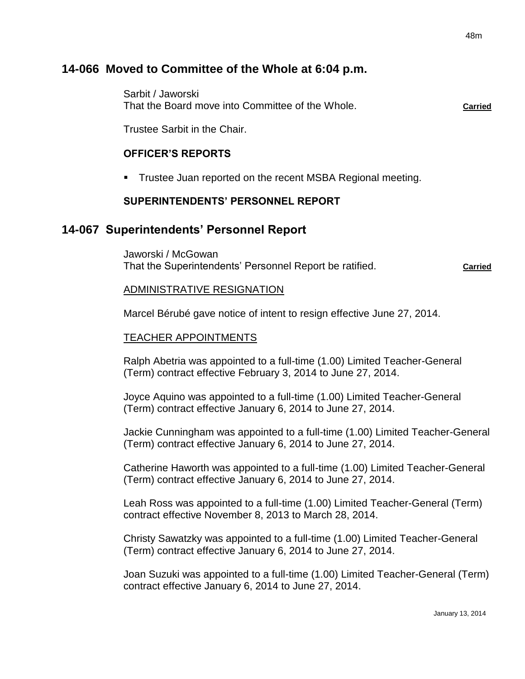# **14-066 Moved to Committee of the Whole at 6:04 p.m.**

Sarbit / Jaworski That the Board move into Committee of the Whole. **Carried**

Trustee Sarbit in the Chair.

# **OFFICER'S REPORTS**

■ Trustee Juan reported on the recent MSBA Regional meeting.

#### **SUPERINTENDENTS' PERSONNEL REPORT**

# **14-067 Superintendents' Personnel Report**

Jaworski / McGowan That the Superintendents' Personnel Report be ratified. **Carried**

#### ADMINISTRATIVE RESIGNATION

Marcel Bérubé gave notice of intent to resign effective June 27, 2014.

#### TEACHER APPOINTMENTS

Ralph Abetria was appointed to a full-time (1.00) Limited Teacher-General (Term) contract effective February 3, 2014 to June 27, 2014.

Joyce Aquino was appointed to a full-time (1.00) Limited Teacher-General (Term) contract effective January 6, 2014 to June 27, 2014.

Jackie Cunningham was appointed to a full-time (1.00) Limited Teacher-General (Term) contract effective January 6, 2014 to June 27, 2014.

Catherine Haworth was appointed to a full-time (1.00) Limited Teacher-General (Term) contract effective January 6, 2014 to June 27, 2014.

Leah Ross was appointed to a full-time (1.00) Limited Teacher-General (Term) contract effective November 8, 2013 to March 28, 2014.

Christy Sawatzky was appointed to a full-time (1.00) Limited Teacher-General (Term) contract effective January 6, 2014 to June 27, 2014.

Joan Suzuki was appointed to a full-time (1.00) Limited Teacher-General (Term) contract effective January 6, 2014 to June 27, 2014.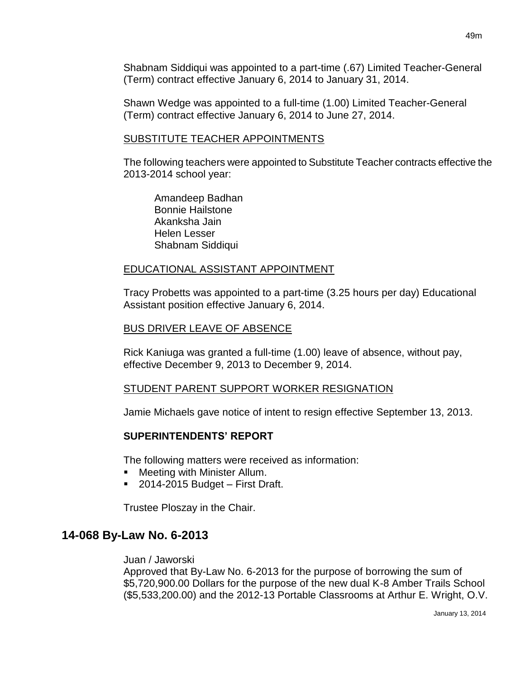Shabnam Siddiqui was appointed to a part-time (.67) Limited Teacher-General (Term) contract effective January 6, 2014 to January 31, 2014.

Shawn Wedge was appointed to a full-time (1.00) Limited Teacher-General (Term) contract effective January 6, 2014 to June 27, 2014.

#### SUBSTITUTE TEACHER APPOINTMENTS

The following teachers were appointed to Substitute Teacher contracts effective the 2013-2014 school year:

Amandeep Badhan Bonnie Hailstone Akanksha Jain Helen Lesser Shabnam Siddiqui

#### EDUCATIONAL ASSISTANT APPOINTMENT

Tracy Probetts was appointed to a part-time (3.25 hours per day) Educational Assistant position effective January 6, 2014.

# BUS DRIVER LEAVE OF ABSENCE

Rick Kaniuga was granted a full-time (1.00) leave of absence, without pay, effective December 9, 2013 to December 9, 2014.

#### STUDENT PARENT SUPPORT WORKER RESIGNATION

Jamie Michaels gave notice of intent to resign effective September 13, 2013.

# **SUPERINTENDENTS' REPORT**

The following matters were received as information:

- Meeting with Minister Allum.
- 2014-2015 Budget First Draft.

Trustee Ploszay in the Chair.

# **14-068 By-Law No. 6-2013**

#### Juan / Jaworski

Approved that By-Law No. 6-2013 for the purpose of borrowing the sum of \$5,720,900.00 Dollars for the purpose of the new dual K-8 Amber Trails School (\$5,533,200.00) and the 2012-13 Portable Classrooms at Arthur E. Wright, O.V.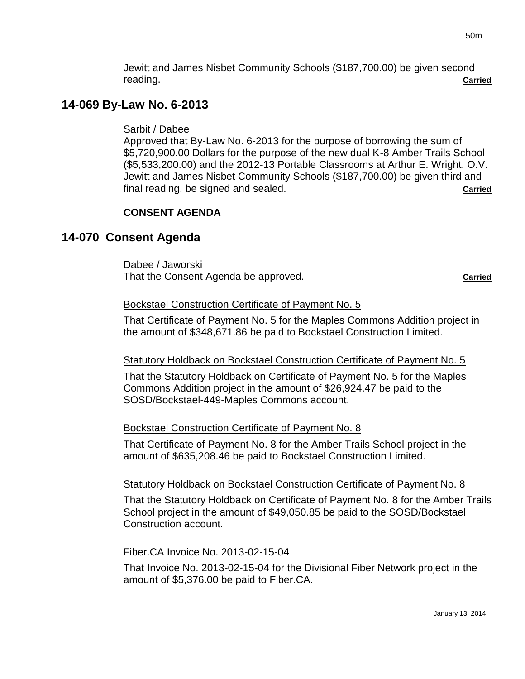Jewitt and James Nisbet Community Schools (\$187,700.00) be given second reading. **Carried**

# **14-069 By-Law No. 6-2013**

Sarbit / Dabee

Approved that By-Law No. 6-2013 for the purpose of borrowing the sum of \$5,720,900.00 Dollars for the purpose of the new dual K-8 Amber Trails School (\$5,533,200.00) and the 2012-13 Portable Classrooms at Arthur E. Wright, O.V. Jewitt and James Nisbet Community Schools (\$187,700.00) be given third and final reading, be signed and sealed. **Carried**

# **CONSENT AGENDA**

# **14-070 Consent Agenda**

Dabee / Jaworski That the Consent Agenda be approved. **Carried Carried Carried** 

#### Bockstael Construction Certificate of Payment No. 5

That Certificate of Payment No. 5 for the Maples Commons Addition project in the amount of \$348,671.86 be paid to Bockstael Construction Limited.

#### Statutory Holdback on Bockstael Construction Certificate of Payment No. 5

That the Statutory Holdback on Certificate of Payment No. 5 for the Maples Commons Addition project in the amount of \$26,924.47 be paid to the SOSD/Bockstael-449-Maples Commons account.

#### Bockstael Construction Certificate of Payment No. 8

That Certificate of Payment No. 8 for the Amber Trails School project in the amount of \$635,208.46 be paid to Bockstael Construction Limited.

#### Statutory Holdback on Bockstael Construction Certificate of Payment No. 8

That the Statutory Holdback on Certificate of Payment No. 8 for the Amber Trails School project in the amount of \$49,050.85 be paid to the SOSD/Bockstael Construction account.

#### Fiber.CA Invoice No. 2013-02-15-04

That Invoice No. 2013-02-15-04 for the Divisional Fiber Network project in the amount of \$5,376.00 be paid to Fiber.CA.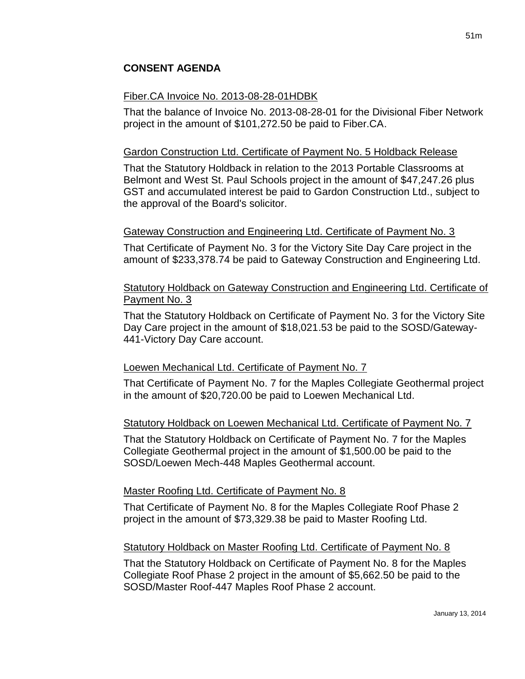# Fiber.CA Invoice No. 2013-08-28-01HDBK

That the balance of Invoice No. 2013-08-28-01 for the Divisional Fiber Network project in the amount of \$101,272.50 be paid to Fiber.CA.

# Gardon Construction Ltd. Certificate of Payment No. 5 Holdback Release

That the Statutory Holdback in relation to the 2013 Portable Classrooms at Belmont and West St. Paul Schools project in the amount of \$47,247.26 plus GST and accumulated interest be paid to Gardon Construction Ltd., subject to the approval of the Board's solicitor.

# Gateway Construction and Engineering Ltd. Certificate of Payment No. 3

That Certificate of Payment No. 3 for the Victory Site Day Care project in the amount of \$233,378.74 be paid to Gateway Construction and Engineering Ltd.

### Statutory Holdback on Gateway Construction and Engineering Ltd. Certificate of Payment No. 3

That the Statutory Holdback on Certificate of Payment No. 3 for the Victory Site Day Care project in the amount of \$18,021.53 be paid to the SOSD/Gateway-441-Victory Day Care account.

# Loewen Mechanical Ltd. Certificate of Payment No. 7

That Certificate of Payment No. 7 for the Maples Collegiate Geothermal project in the amount of \$20,720.00 be paid to Loewen Mechanical Ltd.

#### Statutory Holdback on Loewen Mechanical Ltd. Certificate of Payment No. 7

That the Statutory Holdback on Certificate of Payment No. 7 for the Maples Collegiate Geothermal project in the amount of \$1,500.00 be paid to the SOSD/Loewen Mech-448 Maples Geothermal account.

#### Master Roofing Ltd. Certificate of Payment No. 8

That Certificate of Payment No. 8 for the Maples Collegiate Roof Phase 2 project in the amount of \$73,329.38 be paid to Master Roofing Ltd.

# Statutory Holdback on Master Roofing Ltd. Certificate of Payment No. 8

That the Statutory Holdback on Certificate of Payment No. 8 for the Maples Collegiate Roof Phase 2 project in the amount of \$5,662.50 be paid to the SOSD/Master Roof-447 Maples Roof Phase 2 account.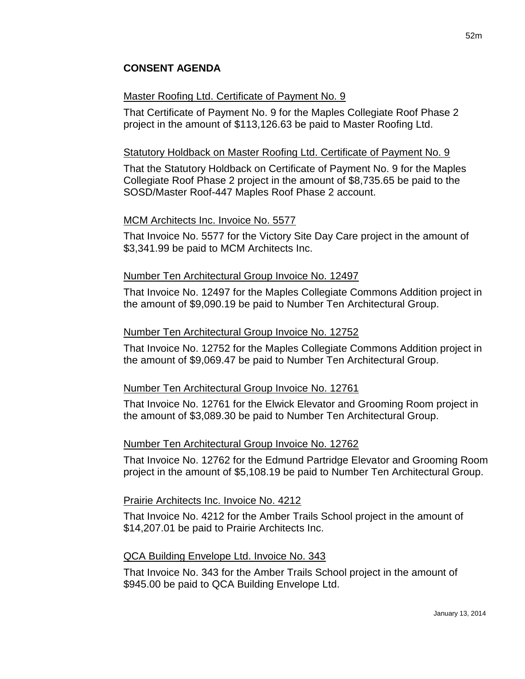# **CONSENT AGENDA**

#### Master Roofing Ltd. Certificate of Payment No. 9

That Certificate of Payment No. 9 for the Maples Collegiate Roof Phase 2 project in the amount of \$113,126.63 be paid to Master Roofing Ltd.

#### Statutory Holdback on Master Roofing Ltd. Certificate of Payment No. 9

That the Statutory Holdback on Certificate of Payment No. 9 for the Maples Collegiate Roof Phase 2 project in the amount of \$8,735.65 be paid to the SOSD/Master Roof-447 Maples Roof Phase 2 account.

#### MCM Architects Inc. Invoice No. 5577

That Invoice No. 5577 for the Victory Site Day Care project in the amount of \$3,341.99 be paid to MCM Architects Inc.

#### Number Ten Architectural Group Invoice No. 12497

That Invoice No. 12497 for the Maples Collegiate Commons Addition project in the amount of \$9,090.19 be paid to Number Ten Architectural Group.

#### Number Ten Architectural Group Invoice No. 12752

That Invoice No. 12752 for the Maples Collegiate Commons Addition project in the amount of \$9,069.47 be paid to Number Ten Architectural Group.

#### Number Ten Architectural Group Invoice No. 12761

That Invoice No. 12761 for the Elwick Elevator and Grooming Room project in the amount of \$3,089.30 be paid to Number Ten Architectural Group.

#### Number Ten Architectural Group Invoice No. 12762

That Invoice No. 12762 for the Edmund Partridge Elevator and Grooming Room project in the amount of \$5,108.19 be paid to Number Ten Architectural Group.

#### Prairie Architects Inc. Invoice No. 4212

That Invoice No. 4212 for the Amber Trails School project in the amount of \$14,207.01 be paid to Prairie Architects Inc.

#### QCA Building Envelope Ltd. Invoice No. 343

That Invoice No. 343 for the Amber Trails School project in the amount of \$945.00 be paid to QCA Building Envelope Ltd.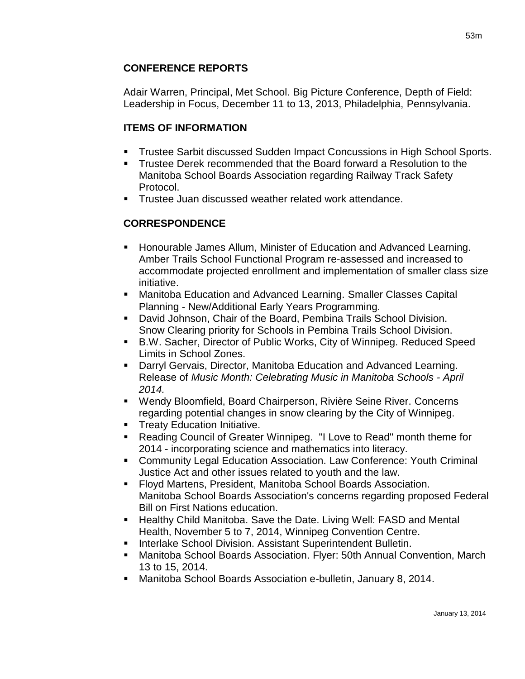# **CONFERENCE REPORTS**

Adair Warren, Principal, Met School. Big Picture Conference, Depth of Field: Leadership in Focus, December 11 to 13, 2013, Philadelphia, Pennsylvania.

# **ITEMS OF INFORMATION**

- Trustee Sarbit discussed Sudden Impact Concussions in High School Sports.
- Trustee Derek recommended that the Board forward a Resolution to the Manitoba School Boards Association regarding Railway Track Safety Protocol.
- **Trustee Juan discussed weather related work attendance.**

# **CORRESPONDENCE**

- Honourable James Allum, Minister of Education and Advanced Learning. Amber Trails School Functional Program re-assessed and increased to accommodate projected enrollment and implementation of smaller class size initiative.
- Manitoba Education and Advanced Learning. Smaller Classes Capital Planning - New/Additional Early Years Programming.
- David Johnson, Chair of the Board, Pembina Trails School Division. Snow Clearing priority for Schools in Pembina Trails School Division.
- B.W. Sacher, Director of Public Works, City of Winnipeg. Reduced Speed Limits in School Zones.
- Darryl Gervais, Director, Manitoba Education and Advanced Learning. Release of *Music Month: Celebrating Music in Manitoba Schools - April 2014.*
- Wendy Bloomfield, Board Chairperson, Rivière Seine River. Concerns regarding potential changes in snow clearing by the City of Winnipeg.
- **Treaty Education Initiative.**
- Reading Council of Greater Winnipeg. "I Love to Read" month theme for 2014 - incorporating science and mathematics into literacy.
- Community Legal Education Association. Law Conference: Youth Criminal Justice Act and other issues related to youth and the law.
- Floyd Martens, President, Manitoba School Boards Association. Manitoba School Boards Association's concerns regarding proposed Federal Bill on First Nations education.
- **Healthy Child Manitoba. Save the Date. Living Well: FASD and Mental** Health, November 5 to 7, 2014, Winnipeg Convention Centre.
- Interlake School Division. Assistant Superintendent Bulletin.
- Manitoba School Boards Association. Flyer: 50th Annual Convention, March 13 to 15, 2014.
- Manitoba School Boards Association e-bulletin, January 8, 2014.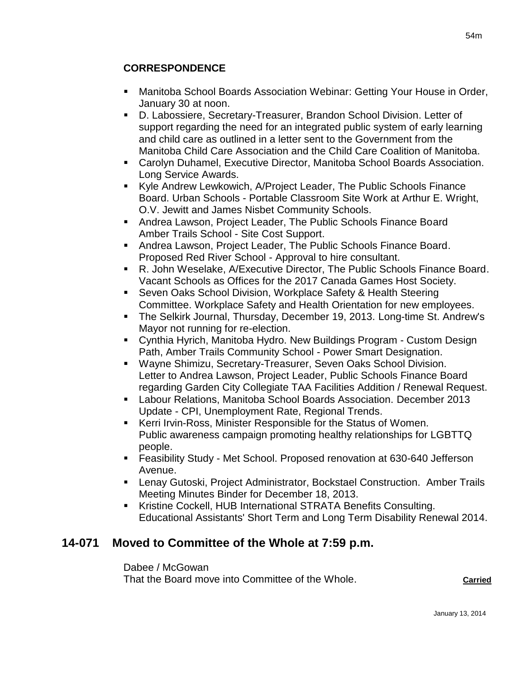# **CORRESPONDENCE**

- Manitoba School Boards Association Webinar: Getting Your House in Order, January 30 at noon.
- D. Labossiere, Secretary-Treasurer, Brandon School Division. Letter of support regarding the need for an integrated public system of early learning and child care as outlined in a letter sent to the Government from the Manitoba Child Care Association and the Child Care Coalition of Manitoba.
- Carolyn Duhamel, Executive Director, Manitoba School Boards Association. Long Service Awards.
- Kyle Andrew Lewkowich, A/Project Leader, The Public Schools Finance Board. Urban Schools - Portable Classroom Site Work at Arthur E. Wright, O.V. Jewitt and James Nisbet Community Schools.
- **Andrea Lawson, Project Leader, The Public Schools Finance Board** Amber Trails School - Site Cost Support.
- Andrea Lawson, Project Leader, The Public Schools Finance Board. Proposed Red River School - Approval to hire consultant.
- R. John Weselake, A/Executive Director, The Public Schools Finance Board. Vacant Schools as Offices for the 2017 Canada Games Host Society.
- Seven Oaks School Division, Workplace Safety & Health Steering Committee. Workplace Safety and Health Orientation for new employees.
- The Selkirk Journal, Thursday, December 19, 2013. Long-time St. Andrew's Mayor not running for re-election.
- Cynthia Hyrich, Manitoba Hydro. New Buildings Program Custom Design Path, Amber Trails Community School - Power Smart Designation.
- Wayne Shimizu, Secretary-Treasurer, Seven Oaks School Division. Letter to Andrea Lawson, Project Leader, Public Schools Finance Board regarding Garden City Collegiate TAA Facilities Addition / Renewal Request.
- Labour Relations, Manitoba School Boards Association. December 2013 Update - CPI, Unemployment Rate, Regional Trends.
- Kerri Irvin-Ross, Minister Responsible for the Status of Women. Public awareness campaign promoting healthy relationships for LGBTTQ people.
- Feasibility Study Met School. Proposed renovation at 630-640 Jefferson Avenue.
- Lenay Gutoski, Project Administrator, Bockstael Construction. Amber Trails Meeting Minutes Binder for December 18, 2013.
- Kristine Cockell, HUB International STRATA Benefits Consulting. Educational Assistants' Short Term and Long Term Disability Renewal 2014.

# **14-071 Moved to Committee of the Whole at 7:59 p.m.**

Dabee / McGowan

That the Board move into Committee of the Whole. **Carried**